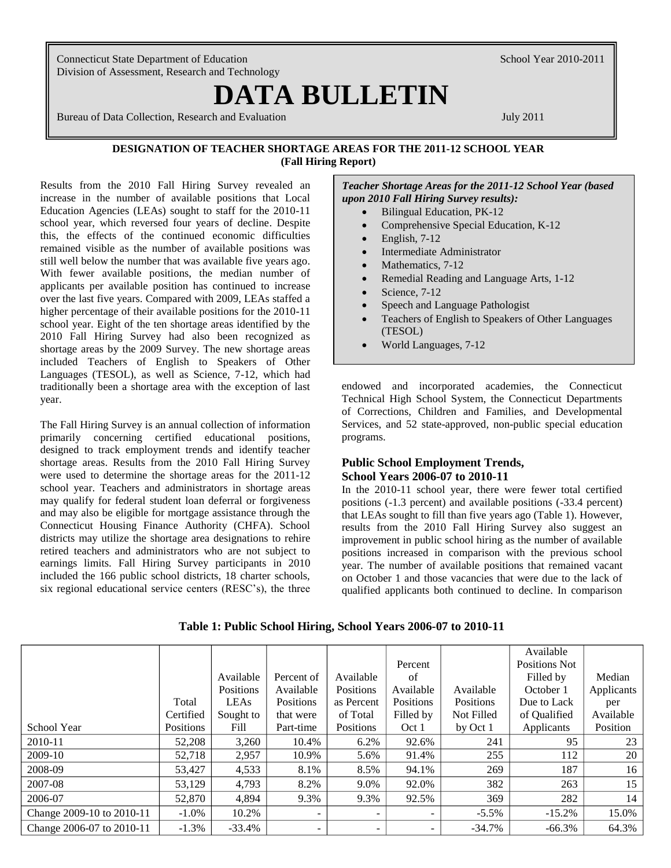Connecticut State Department of Education School Year 2010-2011 Division of Assessment, Research and Technology

# **DATA BULLETIN**

Bureau of Data Collection, Research and Evaluation July 2011

#### **DESIGNATION OF TEACHER SHORTAGE AREAS FOR THE 2011-12 SCHOOL YEAR (Fall Hiring Report)**

Results from the 2010 Fall Hiring Survey revealed an increase in the number of available positions that Local Education Agencies (LEAs) sought to staff for the 2010-11 school year, which reversed four years of decline. Despite this, the effects of the continued economic difficulties remained visible as the number of available positions was still well below the number that was available five years ago. With fewer available positions, the median number of applicants per available position has continued to increase over the last five years. Compared with 2009, LEAs staffed a higher percentage of their available positions for the 2010-11 school year. Eight of the ten shortage areas identified by the 2010 Fall Hiring Survey had also been recognized as shortage areas by the 2009 Survey. The new shortage areas included Teachers of English to Speakers of Other Languages (TESOL), as well as Science, 7-12, which had traditionally been a shortage area with the exception of last year.

The Fall Hiring Survey is an annual collection of information primarily concerning certified educational positions, designed to track employment trends and identify teacher shortage areas. Results from the 2010 Fall Hiring Survey were used to determine the shortage areas for the 2011-12 school year. Teachers and administrators in shortage areas may qualify for federal student loan deferral or forgiveness and may also be eligible for mortgage assistance through the Connecticut Housing Finance Authority (CHFA). School districts may utilize the shortage area designations to rehire retired teachers and administrators who are not subject to earnings limits. Fall Hiring Survey participants in 2010 included the 166 public school districts, 18 charter schools, six regional educational service centers (RESC"s), the three *Teacher Shortage Areas for the 2011-12 School Year (based upon 2010 Fall Hiring Survey results):*

- Bilingual Education, PK-12
- Comprehensive Special Education, K-12
- $\bullet$  English, 7-12
- Intermediate Administrator
- Mathematics, 7-12
- Remedial Reading and Language Arts, 1-12
- Science, 7-12
- Speech and Language Pathologist
- Teachers of English to Speakers of Other Languages (TESOL)
- World Languages, 7-12

endowed and incorporated academies, the Connecticut Technical High School System, the Connecticut Departments of Corrections, Children and Families, and Developmental Services, and 52 state-approved, non-public special education programs.

## **Public School Employment Trends, School Years 2006-07 to 2010-11**

In the 2010-11 school year, there were fewer total certified positions (-1.3 percent) and available positions (-33.4 percent) that LEAs sought to fill than five years ago (Table 1). However, results from the 2010 Fall Hiring Survey also suggest an improvement in public school hiring as the number of available positions increased in comparison with the previous school year. The number of available positions that remained vacant on October 1 and those vacancies that were due to the lack of qualified applicants both continued to decline. In comparison

|                           |           |             |            |            |                  |            | Available     |            |
|---------------------------|-----------|-------------|------------|------------|------------------|------------|---------------|------------|
|                           |           |             |            |            | Percent          |            | Positions Not |            |
|                           |           | Available   | Percent of | Available  | of               |            | Filled by     | Median     |
|                           |           | Positions   | Available  | Positions  | Available        | Available  | October 1     | Applicants |
|                           | Total     | <b>LEAs</b> | Positions  | as Percent | <b>Positions</b> | Positions  | Due to Lack   | per        |
|                           | Certified | Sought to   | that were  | of Total   | Filled by        | Not Filled | of Qualified  | Available  |
| School Year               | Positions | Fill        | Part-time  | Positions  | Oct 1            | by Oct 1   | Applicants    | Position   |
| 2010-11                   | 52,208    | 3,260       | 10.4%      | 6.2%       | 92.6%            | 241        | 95            | 23         |
| 2009-10                   | 52.718    | 2,957       | 10.9%      | 5.6%       | 91.4%            | 255        | 112           | 20         |
| 2008-09                   | 53,427    | 4,533       | 8.1%       | 8.5%       | 94.1%            | 269        | 187           | 16         |
| 2007-08                   | 53,129    | 4,793       | 8.2%       | 9.0%       | 92.0%            | 382        | 263           | 15         |
| 2006-07                   | 52,870    | 4,894       | 9.3%       | 9.3%       | 92.5%            | 369        | 282           | 14         |
| Change 2009-10 to 2010-11 | $-1.0\%$  | 10.2%       |            |            |                  | $-5.5\%$   | $-15.2%$      | 15.0%      |
| Change 2006-07 to 2010-11 | $-1.3\%$  | $-33.4%$    |            |            |                  | $-34.7%$   | $-66.3%$      | 64.3%      |

#### **Table 1: Public School Hiring, School Years 2006-07 to 2010-11**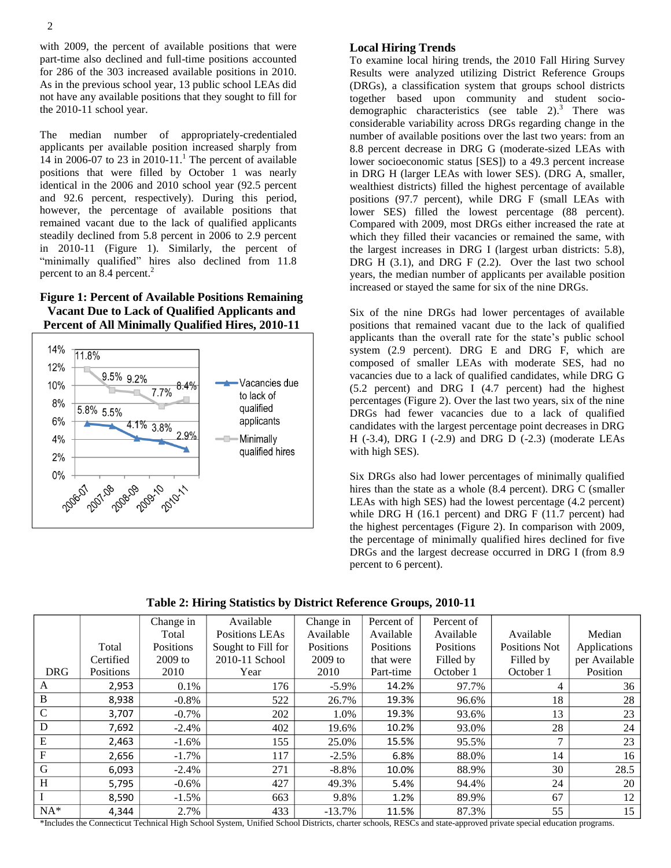with 2009, the percent of available positions that were part-time also declined and full-time positions accounted for 286 of the 303 increased available positions in 2010. As in the previous school year, 13 public school LEAs did not have any available positions that they sought to fill for the 2010-11 school year.

The median number of appropriately-credentialed applicants per available position increased sharply from 14 in 2006-07 to 23 in 2010-11. <sup>1</sup> The percent of available positions that were filled by October 1 was nearly identical in the 2006 and 2010 school year (92.5 percent and 92.6 percent, respectively). During this period, however, the percentage of available positions that remained vacant due to the lack of qualified applicants steadily declined from 5.8 percent in 2006 to 2.9 percent in 2010-11 (Figure 1). Similarly, the percent of "minimally qualified" hires also declined from 11.8 percent to an 8.4 percent. 2

# **Figure 1: Percent of Available Positions Remaining Vacant Due to Lack of Qualified Applicants and Percent of All Minimally Qualified Hires, 2010-11**



# **Local Hiring Trends**

To examine local hiring trends, the 2010 Fall Hiring Survey Results were analyzed utilizing District Reference Groups (DRGs), a classification system that groups school districts together based upon community and student sociodemographic characteristics (see table 2). <sup>3</sup> There was considerable variability across DRGs regarding change in the number of available positions over the last two years: from an 8.8 percent decrease in DRG G (moderate-sized LEAs with lower socioeconomic status [SES]) to a 49.3 percent increase in DRG H (larger LEAs with lower SES). (DRG A, smaller, wealthiest districts) filled the highest percentage of available positions (97.7 percent), while DRG F (small LEAs with lower SES) filled the lowest percentage (88 percent). Compared with 2009, most DRGs either increased the rate at which they filled their vacancies or remained the same, with the largest increases in DRG I (largest urban districts: 5.8), DRG H (3.1), and DRG F (2.2). Over the last two school years, the median number of applicants per available position increased or stayed the same for six of the nine DRGs.

Six of the nine DRGs had lower percentages of available positions that remained vacant due to the lack of qualified applicants than the overall rate for the state"s public school system (2.9 percent). DRG E and DRG F, which are composed of smaller LEAs with moderate SES, had no vacancies due to a lack of qualified candidates, while DRG G (5.2 percent) and DRG I (4.7 percent) had the highest percentages (Figure 2). Over the last two years, six of the nine DRGs had fewer vacancies due to a lack of qualified candidates with the largest percentage point decreases in DRG H (-3.4), DRG I (-2.9) and DRG D (-2.3) (moderate LEAs with high SES).

Six DRGs also had lower percentages of minimally qualified hires than the state as a whole (8.4 percent). DRG C (smaller LEAs with high SES) had the lowest percentage (4.2 percent) while DRG H (16.1 percent) and DRG F (11.7 percent) had the highest percentages (Figure 2). In comparison with 2009, the percentage of minimally qualified hires declined for five DRGs and the largest decrease occurred in DRG I (from 8.9 percent to 6 percent).

**Table 2: Hiring Statistics by District Reference Groups, 2010-11**

|               |           | Change in | Available          | Change in | Percent of | Percent of |               |               |
|---------------|-----------|-----------|--------------------|-----------|------------|------------|---------------|---------------|
|               |           | Total     | Positions LEAs     | Available | Available  | Available  | Available     | Median        |
|               | Total     | Positions | Sought to Fill for | Positions | Positions  | Positions  | Positions Not | Applications  |
|               | Certified | $2009$ to | 2010-11 School     | $2009$ to | that were  | Filled by  | Filled by     | per Available |
| <b>DRG</b>    | Positions | 2010      | Year               | 2010      | Part-time  | October 1  | October 1     | Position      |
| A             | 2,953     | $0.1\%$   | 176                | $-5.9\%$  | 14.2%      | 97.7%      | 4             | 36            |
| $\bf{B}$      | 8,938     | $-0.8\%$  | 522                | 26.7%     | 19.3%      | 96.6%      | 18            | 28            |
| $\mathcal{C}$ | 3,707     | $-0.7\%$  | 202                | 1.0%      | 19.3%      | 93.6%      | 13            | 23            |
| D             | 7,692     | $-2.4\%$  | 402                | 19.6%     | 10.2%      | 93.0%      | 28            | 24            |
| E             | 2,463     | $-1.6\%$  | 155                | 25.0%     | 15.5%      | 95.5%      | ⇁             | 23            |
| F             | 2,656     | $-1.7\%$  | 117                | $-2.5%$   | 6.8%       | 88.0%      | 14            | 16            |
| G             | 6,093     | $-2.4%$   | 271                | $-8.8\%$  | 10.0%      | 88.9%      | 30            | 28.5          |
| H             | 5,795     | $-0.6\%$  | 427                | 49.3%     | 5.4%       | 94.4%      | 24            | 20            |
|               | 8,590     | $-1.5\%$  | 663                | 9.8%      | 1.2%       | 89.9%      | 67            | 12            |
| $NA*$         | 4,344     | 2.7%      | 433                | $-13.7%$  | 11.5%      | 87.3%      | 55            | 15            |

\*Includes the Connecticut Technical High School System, Unified School Districts, charter schools, RESCs and state-approved private special education programs.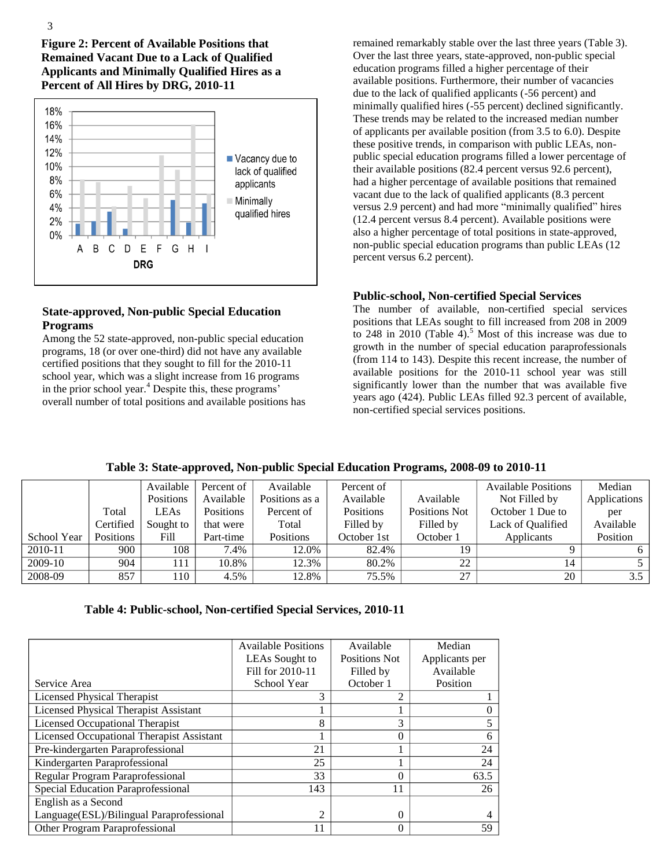**Figure 2: Percent of Available Positions that Remained Vacant Due to a Lack of Qualified Applicants and Minimally Qualified Hires as a Percent of All Hires by DRG, 2010-11**



# **State-approved, Non-public Special Education Programs**

Among the 52 state-approved, non-public special education programs, 18 (or over one-third) did not have any available certified positions that they sought to fill for the 2010-11 school year, which was a slight increase from 16 programs in the prior school year.<sup>4</sup> Despite this, these programs' overall number of total positions and available positions has remained remarkably stable over the last three years (Table 3). Over the last three years, state-approved, non-public special education programs filled a higher percentage of their available positions. Furthermore, their number of vacancies due to the lack of qualified applicants (-56 percent) and minimally qualified hires (-55 percent) declined significantly. These trends may be related to the increased median number of applicants per available position (from 3.5 to 6.0). Despite these positive trends, in comparison with public LEAs, nonpublic special education programs filled a lower percentage of their available positions (82.4 percent versus 92.6 percent), had a higher percentage of available positions that remained vacant due to the lack of qualified applicants (8.3 percent versus 2.9 percent) and had more "minimally qualified" hires (12.4 percent versus 8.4 percent). Available positions were also a higher percentage of total positions in state-approved, non-public special education programs than public LEAs (12 percent versus 6.2 percent).

#### **Public-school, Non-certified Special Services**

The number of available, non-certified special services positions that LEAs sought to fill increased from 208 in 2009 to 248 in 2010 (Table 4).<sup>5</sup> Most of this increase was due to growth in the number of special education paraprofessionals (from 114 to 143). Despite this recent increase, the number of available positions for the 2010-11 school year was still significantly lower than the number that was available five years ago (424). Public LEAs filled 92.3 percent of available, non-certified special services positions.

|             |                  | Available   | Percent of       | Available      | Percent of       |               | <b>Available Positions</b> | Median       |
|-------------|------------------|-------------|------------------|----------------|------------------|---------------|----------------------------|--------------|
|             |                  | Positions   | Available        | Positions as a | Available        | Available     | Not Filled by              | Applications |
|             | Total            | <b>LEAs</b> | <b>Positions</b> | Percent of     | <b>Positions</b> | Positions Not | October 1 Due to           | per          |
|             | Certified        | Sought to   | that were        | Total          | Filled by        | Filled by     | Lack of Qualified          | Available    |
| School Year | <b>Positions</b> | Fill        | Part-time        | Positions      | October 1st      | October 1     | Applicants                 | Position     |
| 2010-11     | 900              | 108         | 7.4%             | 12.0%          | 82.4%            | 19            |                            |              |
| 2009-10     | 904              | 111         | 10.8%            | 12.3%          | 80.2%            | 22            | 14                         |              |
| 2008-09     | 857              | 110         | 4.5%             | 12.8%          | 75.5%            | 27            | 20                         | 3.5          |

**Table 3: State-approved, Non-public Special Education Programs, 2008-09 to 2010-11**

**Table 4: Public-school, Non-certified Special Services, 2010-11**

|                                                  | <b>Available Positions</b> | Available            | Median         |
|--------------------------------------------------|----------------------------|----------------------|----------------|
|                                                  | LEAs Sought to             | <b>Positions Not</b> | Applicants per |
|                                                  | Fill for 2010-11           | Filled by            | Available      |
| Service Area                                     | School Year                | October 1            | Position       |
| <b>Licensed Physical Therapist</b>               | 3                          |                      |                |
| <b>Licensed Physical Therapist Assistant</b>     |                            |                      |                |
| <b>Licensed Occupational Therapist</b>           | 8                          | 3                    |                |
| <b>Licensed Occupational Therapist Assistant</b> |                            | $\Omega$             | 6              |
| Pre-kindergarten Paraprofessional                | 21                         |                      | 24             |
| Kindergarten Paraprofessional                    | 25                         |                      | 24             |
| Regular Program Paraprofessional                 | 33                         | 0                    | 63.5           |
| Special Education Paraprofessional               | 143                        | 11                   | 26             |
| English as a Second                              |                            |                      |                |
| Language(ESL)/Bilingual Paraprofessional         | $\mathfrak{D}$             | 0                    |                |
| Other Program Paraprofessional                   | 11                         | $\Omega$             | 59             |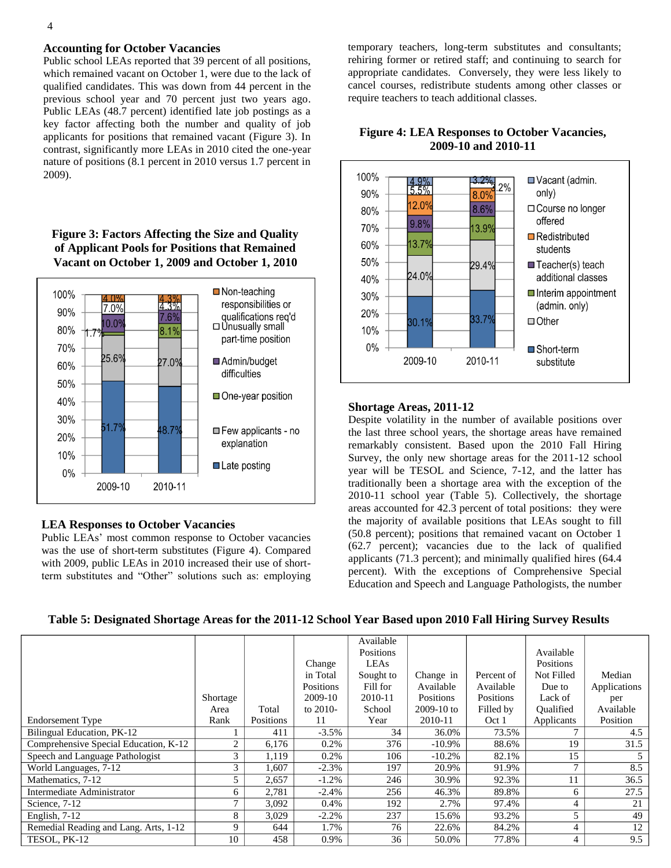#### **Accounting for October Vacancies**

Public school LEAs reported that 39 percent of all positions, which remained vacant on October 1, were due to the lack of qualified candidates. This was down from 44 percent in the previous school year and 70 percent just two years ago. Public LEAs (48.7 percent) identified late job postings as a key factor affecting both the number and quality of job applicants for positions that remained vacant (Figure 3). In contrast, significantly more LEAs in 2010 cited the one-year nature of positions (8.1 percent in 2010 versus 1.7 percent in 2009).

# **Figure 3: Factors Affecting the Size and Quality of Applicant Pools for Positions that Remained Vacant on October 1, 2009 and October 1, 2010**



#### **LEA Responses to October Vacancies**

Public LEAs" most common response to October vacancies was the use of short-term substitutes (Figure 4). Compared with 2009, public LEAs in 2010 increased their use of shortterm substitutes and "Other" solutions such as: employing

temporary teachers, long-term substitutes and consultants; rehiring former or retired staff; and continuing to search for appropriate candidates. Conversely, they were less likely to cancel courses, redistribute students among other classes or require teachers to teach additional classes.

# **Figure 4: LEA Responses to October Vacancies, 2009-10 and 2010-11**



#### **Shortage Areas, 2011-12**

Despite volatility in the number of available positions over the last three school years, the shortage areas have remained remarkably consistent. Based upon the 2010 Fall Hiring Survey, the only new shortage areas for the 2011-12 school year will be TESOL and Science, 7-12, and the latter has traditionally been a shortage area with the exception of the 2010-11 school year (Table 5). Collectively, the shortage areas accounted for 42.3 percent of total positions: they were the majority of available positions that LEAs sought to fill (50.8 percent); positions that remained vacant on October 1 (62.7 percent); vacancies due to the lack of qualified applicants (71.3 percent); and minimally qualified hires (64.4 percent). With the exceptions of Comprehensive Special Education and Speech and Language Pathologists, the number

#### **Table 5: Designated Shortage Areas for the 2011-12 School Year Based upon 2010 Fall Hiring Survey Results**

|                                       | Shortage       |           | Change<br>in Total<br>Positions<br>2009-10 | Available<br>Positions<br>LEAs<br>Sought to<br>Fill for<br>2010-11 | Change in<br>Available<br>Positions | Percent of<br>Available<br>Positions | Available<br>Positions<br>Not Filled<br>Due to<br>Lack of | Median<br>Applications<br>per |
|---------------------------------------|----------------|-----------|--------------------------------------------|--------------------------------------------------------------------|-------------------------------------|--------------------------------------|-----------------------------------------------------------|-------------------------------|
|                                       | Area           | Total     | to 2010-                                   | School                                                             | $2009-10$ to                        | Filled by                            | Oualified                                                 | Available                     |
| <b>Endorsement Type</b>               | Rank           | Positions | 11                                         | Year                                                               | 2010-11                             | Oct 1                                | Applicants                                                | Position                      |
| Bilingual Education, PK-12            |                | 411       | $-3.5%$                                    | 34                                                                 | 36.0%                               | 73.5%                                | $\mathbf{r}$                                              | 4.5                           |
| Comprehensive Special Education, K-12 | $\overline{c}$ | 6,176     | 0.2%                                       | 376                                                                | $-10.9\%$                           | 88.6%                                | 19                                                        | 31.5                          |
| Speech and Language Pathologist       | 3              | 1,119     | 0.2%                                       | 106                                                                | $-10.2%$                            | 82.1%                                | 15                                                        |                               |
| World Languages, 7-12                 | 3              | 1,607     | $-2.3%$                                    | 197                                                                | 20.9%                               | 91.9%                                | $\mathcal{I}$                                             | 8.5                           |
| Mathematics, 7-12                     | 5              | 2,657     | $-1.2\%$                                   | 246                                                                | 30.9%                               | 92.3%                                | 11                                                        | 36.5                          |
| Intermediate Administrator            | 6              | 2,781     | $-2.4\%$                                   | 256                                                                | 46.3%                               | 89.8%                                | 6                                                         | 27.5                          |
| Science, 7-12                         | 7              | 3,092     | $0.4\%$                                    | 192                                                                | 2.7%                                | 97.4%                                | 4                                                         | 21                            |
| English, 7-12                         | 8              | 3,029     | $-2.2\%$                                   | 237                                                                | 15.6%                               | 93.2%                                | 5                                                         | 49                            |
| Remedial Reading and Lang. Arts, 1-12 | 9              | 644       | 1.7%                                       | 76                                                                 | 22.6%                               | 84.2%                                | $\overline{4}$                                            | 12                            |
| TESOL, PK-12                          | 10             | 458       | 0.9%                                       | 36                                                                 | 50.0%                               | 77.8%                                | $\overline{4}$                                            | 9.5                           |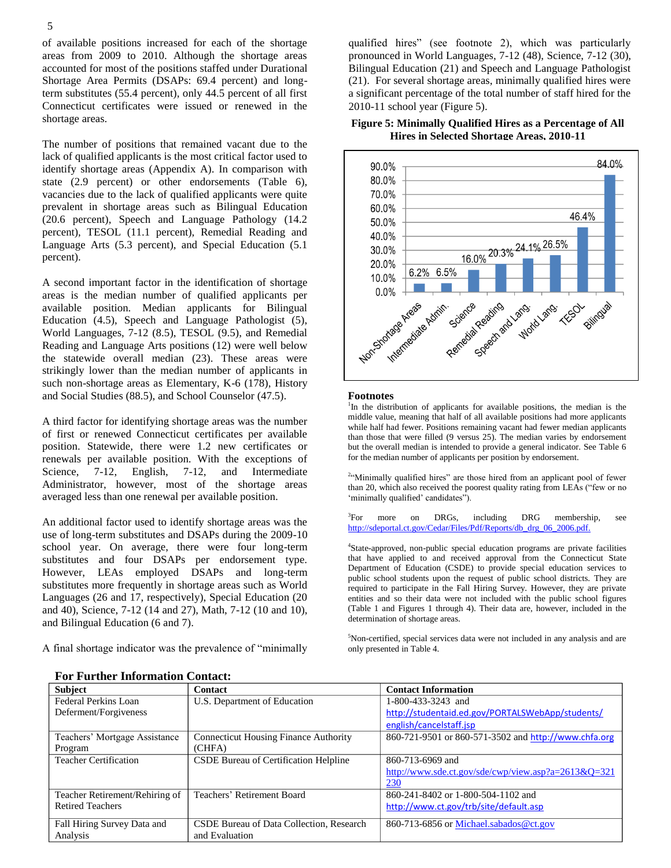of available positions increased for each of the shortage areas from 2009 to 2010. Although the shortage areas accounted for most of the positions staffed under Durational Shortage Area Permits (DSAPs: 69.4 percent) and longterm substitutes (55.4 percent), only 44.5 percent of all first Connecticut certificates were issued or renewed in the shortage areas.

The number of positions that remained vacant due to the lack of qualified applicants is the most critical factor used to identify shortage areas (Appendix A). In comparison with state (2.9 percent) or other endorsements (Table 6), vacancies due to the lack of qualified applicants were quite prevalent in shortage areas such as Bilingual Education (20.6 percent), Speech and Language Pathology (14.2 percent), TESOL (11.1 percent), Remedial Reading and Language Arts (5.3 percent), and Special Education (5.1 percent).

A second important factor in the identification of shortage areas is the median number of qualified applicants per available position. Median applicants for Bilingual Education (4.5), Speech and Language Pathologist (5), World Languages, 7-12 (8.5), TESOL (9.5), and Remedial Reading and Language Arts positions (12) were well below the statewide overall median (23). These areas were strikingly lower than the median number of applicants in such non-shortage areas as Elementary, K-6 (178), History and Social Studies (88.5), and School Counselor (47.5).

A third factor for identifying shortage areas was the number of first or renewed Connecticut certificates per available position. Statewide, there were 1.2 new certificates or renewals per available position. With the exceptions of Science, 7-12, English, 7-12, and Intermediate Administrator, however, most of the shortage areas averaged less than one renewal per available position.

An additional factor used to identify shortage areas was the use of long-term substitutes and DSAPs during the 2009-10 school year. On average, there were four long-term substitutes and four DSAPs per endorsement type. However, LEAs employed DSAPs and long-term substitutes more frequently in shortage areas such as World Languages (26 and 17, respectively), Special Education (20 and 40), Science, 7-12 (14 and 27), Math, 7-12 (10 and 10), and Bilingual Education (6 and 7).

A final shortage indicator was the prevalence of "minimally

qualified hires" (see footnote 2), which was particularly pronounced in World Languages, 7-12 (48), Science, 7-12 (30), Bilingual Education (21) and Speech and Language Pathologist (21). For several shortage areas, minimally qualified hires were a significant percentage of the total number of staff hired for the 2010-11 school year (Figure 5).

#### **Figure 5: Minimally Qualified Hires as a Percentage of All Hires in Selected Shortage Areas, 2010-11**



#### **Footnotes**

<sup>1</sup>In the distribution of applicants for available positions, the median is the middle value, meaning that half of all available positions had more applicants while half had fewer. Positions remaining vacant had fewer median applicants than those that were filled (9 versus 25). The median varies by endorsement but the overall median is intended to provide a general indicator. See Table 6 for the median number of applicants per position by endorsement.

<sup>24</sup>Minimally qualified hires" are those hired from an applicant pool of fewer than 20, which also received the poorest quality rating from LEAs ("few or no 'minimally qualified' candidates").

 ${}^{3}$ For more on DRGs, including DRG membership, see [http://sdeportal.ct.gov/Cedar/Files/Pdf/Reports/db\\_drg\\_06\\_2006.pdf.](http://sdeportal.ct.gov/Cedar/Files/Pdf/Reports/db_drg_06_2006.pdf)

4 State-approved, non-public special education programs are private facilities that have applied to and received approval from the Connecticut State Department of Education (CSDE) to provide special education services to public school students upon the request of public school districts. They are required to participate in the Fall Hiring Survey. However, they are private entities and so their data were not included with the public school figures (Table 1 and Figures 1 through 4). Their data are, however, included in the determination of shortage areas.

<sup>5</sup>Non-certified, special services data were not included in any analysis and are only presented in Table 4.

| <b>Subject</b>                 | <b>Contact</b>                               | <b>Contact Information</b>                              |
|--------------------------------|----------------------------------------------|---------------------------------------------------------|
| Federal Perkins Loan           | U.S. Department of Education                 | 1-800-433-3243 and                                      |
| Deferment/Forgiveness          |                                              | http://studentaid.ed.gov/PORTALSWebApp/students/        |
|                                |                                              | english/cancelstaff.jsp                                 |
| Teachers' Mortgage Assistance  | <b>Connecticut Housing Finance Authority</b> | 860-721-9501 or 860-571-3502 and http://www.chfa.org    |
| Program                        | (CHFA)                                       |                                                         |
| <b>Teacher Certification</b>   | CSDE Bureau of Certification Helpline        | 860-713-6969 and                                        |
|                                |                                              | http://www.sde.ct.gov/sde/cwp/view.asp?a= $2613\&Q=321$ |
|                                |                                              | 230                                                     |
| Teacher Retirement/Rehiring of | Teachers' Retirement Board                   | 860-241-8402 or 1-800-504-1102 and                      |
| <b>Retired Teachers</b>        |                                              | http://www.ct.gov/trb/site/default.asp                  |
| Fall Hiring Survey Data and    | CSDE Bureau of Data Collection, Research     | 860-713-6856 or Michael.sabados@ct.gov                  |
| Analysis                       | and Evaluation                               |                                                         |

**For Further Information Contact:**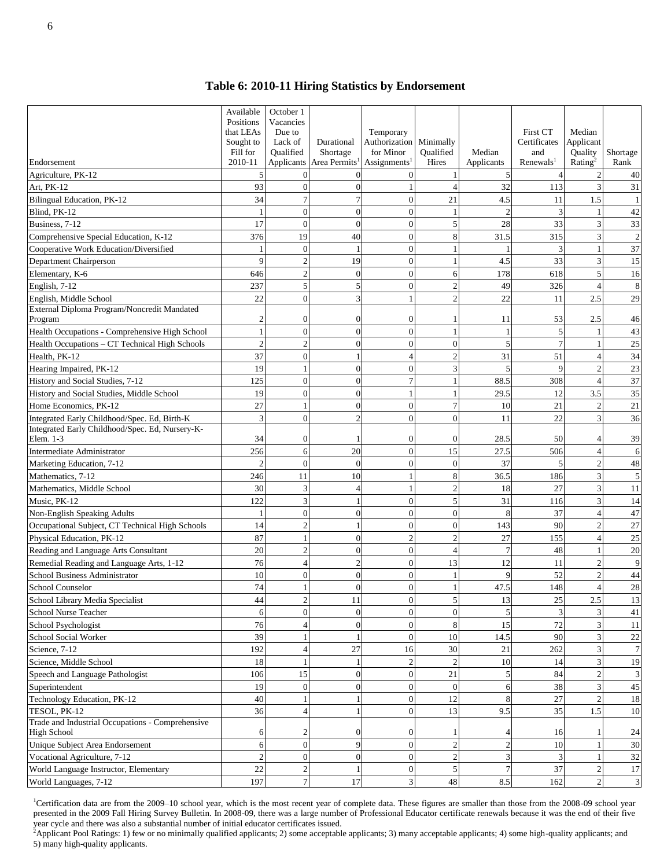## **Table 6: 2010-11 Hiring Statistics by Endorsement**

| Endorsement                                                           | Available<br>Positions<br>that LEAs<br>Sought to<br>Fill for<br>2010-11 | October 1<br>Vacancies<br>Due to<br>Lack of<br>Oualified<br>Applicants | Durational<br>Shortage<br>Area Permits | Temporary<br>Authorization<br>for Minor<br>Assignments <sup>1</sup> | Minimally<br>Qualified<br>Hires | Median<br>Applicants | <b>First CT</b><br>Certificates<br>and<br>Renewals <sup>1</sup> | Median<br>Applicant<br>Quality<br>Rating <sup>2</sup> | Shortage<br>Rank     |
|-----------------------------------------------------------------------|-------------------------------------------------------------------------|------------------------------------------------------------------------|----------------------------------------|---------------------------------------------------------------------|---------------------------------|----------------------|-----------------------------------------------------------------|-------------------------------------------------------|----------------------|
| Agriculture, PK-12                                                    | 5                                                                       | $\Omega$                                                               | $\theta$                               | $\Omega$                                                            |                                 |                      |                                                                 | 2                                                     | 40                   |
| Art, PK-12                                                            | 93                                                                      | $\mathbf{0}$                                                           | $\overline{0}$                         |                                                                     | $\overline{4}$                  | 32                   | 113                                                             | 3                                                     | 31                   |
| Bilingual Education, PK-12                                            | 34                                                                      | $\tau$                                                                 | $\overline{7}$                         | $\theta$                                                            | 21                              | 4.5                  | 11                                                              | 1.5                                                   | $\mathbf{1}$         |
| Blind, PK-12                                                          | $\mathbf{1}$                                                            | $\theta$                                                               | $\theta$                               | $\theta$                                                            | $\mathbf{1}$                    | $\mathbf{2}$         | 3                                                               |                                                       | 42                   |
| Business, 7-12                                                        | 17                                                                      | $\Omega$                                                               | $\theta$                               | $\Omega$                                                            | 5                               | 28                   | 33                                                              | 3                                                     | 33                   |
| Comprehensive Special Education, K-12                                 | 376                                                                     | 19                                                                     | 40                                     | $\Omega$                                                            | 8                               | 31.5                 | 315                                                             | 3                                                     | $\overline{2}$       |
| Cooperative Work Education/Diversified                                | 1                                                                       | $\Omega$                                                               | $\mathbf{1}$                           | $\Omega$                                                            | $\mathbf{1}$                    |                      | 3                                                               | $\mathbf{1}$                                          | 37                   |
| Department Chairperson                                                | 9                                                                       | $\overline{2}$                                                         | 19                                     | $\Omega$                                                            | 1                               | 4.5                  | 33                                                              | 3                                                     | 15                   |
| Elementary, K-6                                                       | 646                                                                     | $\overline{2}$                                                         | $\mathbf{0}$                           | $\overline{0}$                                                      | 6                               | 178                  | 618                                                             | 5                                                     | 16                   |
| English, 7-12                                                         | 237                                                                     | 5                                                                      | 5                                      | $\Omega$                                                            | $\overline{c}$                  | 49                   | 326                                                             | $\overline{4}$                                        | 8                    |
| English, Middle School                                                | 22                                                                      | $\mathbf{0}$                                                           | 3                                      |                                                                     | $\overline{c}$                  | 22                   | 11                                                              | 2.5                                                   | 29                   |
| External Diploma Program/Noncredit Mandated<br>Program                | $\overline{c}$                                                          | $\Omega$                                                               | $\overline{0}$                         | $\overline{0}$                                                      | 1                               | 11                   | 53                                                              | 2.5                                                   | 46                   |
| Health Occupations - Comprehensive High School                        | 1                                                                       | $\mathbf{0}$                                                           | $\overline{0}$                         | $\mathbf{0}$                                                        | 1                               | 1                    | 5                                                               |                                                       | 43                   |
| Health Occupations - CT Technical High Schools                        | $\overline{c}$                                                          | $\mathfrak{D}$                                                         | $\overline{0}$                         | $\theta$                                                            | $\theta$                        | 5                    | $\overline{7}$                                                  |                                                       | 25                   |
| Health, PK-12                                                         | 37                                                                      | $\theta$                                                               | 1                                      | $\overline{4}$                                                      | $\overline{c}$                  | 31                   | 51                                                              | $\overline{4}$                                        | 34                   |
| Hearing Impaired, PK-12                                               | 19                                                                      |                                                                        | $\theta$                               | $\Omega$                                                            | 3                               | 5                    | 9                                                               | $\overline{2}$                                        | 23                   |
| History and Social Studies, 7-12                                      | 125                                                                     | $\Omega$                                                               | $\overline{0}$                         | $\overline{7}$                                                      | 1                               | 88.5                 | 308                                                             | $\overline{A}$                                        | 37                   |
| History and Social Studies, Middle School                             | 19                                                                      | $\Omega$                                                               | $\Omega$                               |                                                                     | $\mathbf{1}$                    | 29.5                 | 12                                                              | 3.5                                                   | 35                   |
| Home Economics, PK-12                                                 | 27                                                                      |                                                                        | $\overline{0}$                         | $\overline{0}$                                                      | $\overline{7}$                  | 10                   | 21                                                              | $\overline{c}$                                        | $21\,$               |
| Integrated Early Childhood/Spec. Ed, Birth-K                          | 3                                                                       | $\Omega$                                                               | $\overline{c}$                         | $\theta$                                                            | $\overline{0}$                  | 11                   | 22                                                              | 3                                                     | 36                   |
| Integrated Early Childhood/Spec. Ed, Nursery-K-<br>Elem. 1-3          | 34                                                                      | $\Omega$                                                               |                                        | $\Omega$                                                            | $\theta$                        | 28.5                 | 50                                                              |                                                       | 39                   |
| Intermediate Administrator                                            | 256                                                                     | 6                                                                      | 20                                     | $\theta$                                                            | 15                              | 27.5                 | 506                                                             | $\overline{A}$                                        | 6                    |
| Marketing Education, 7-12                                             | $\mathcal{D}$                                                           | $\Omega$                                                               | $\mathbf{0}$                           | $\Omega$                                                            | $\overline{0}$                  | 37                   | 5                                                               | $\overline{2}$                                        | 48                   |
| Mathematics, 7-12                                                     | 246                                                                     | 11                                                                     | 10                                     |                                                                     | 8                               | 36.5                 | 186                                                             | 3                                                     | $\sqrt{5}$           |
| Mathematics, Middle School                                            | 30                                                                      | 3                                                                      | $\overline{4}$                         |                                                                     | $\overline{c}$                  | 18                   | 27                                                              | 3                                                     | 11                   |
| Music, PK-12                                                          | 122                                                                     | 3                                                                      | 1                                      | $\theta$                                                            | 5                               | 31                   | 116                                                             | 3                                                     | 14                   |
| Non-English Speaking Adults                                           | $\mathbf{1}$                                                            | $\mathbf{0}$                                                           | $\overline{0}$                         | $\Omega$                                                            | $\overline{0}$                  | 8                    | 37                                                              | $\overline{4}$                                        | 47                   |
| Occupational Subject, CT Technical High Schools                       | 14                                                                      | $\overline{c}$                                                         | 1                                      | $\Omega$                                                            | $\overline{0}$                  | 143                  | 90                                                              | $\overline{2}$                                        | 27                   |
| Physical Education, PK-12                                             | 87                                                                      |                                                                        | $\Omega$                               | $\overline{c}$                                                      | $\overline{2}$                  | 27                   | 155                                                             | $\overline{4}$                                        | 25                   |
| Reading and Language Arts Consultant                                  | 20                                                                      | $\overline{2}$                                                         | $\theta$                               | $\theta$                                                            | $\overline{4}$                  | $\tau$               | 48                                                              | $\mathbf{1}$                                          | 20                   |
| Remedial Reading and Language Arts, 1-12                              | 76                                                                      | $\overline{4}$                                                         | $\overline{c}$                         | $\overline{0}$                                                      | 13                              | 12                   | 11                                                              | $\overline{2}$                                        | 9                    |
| School Business Administrator                                         | 10                                                                      | $\mathbf{0}$                                                           | $\overline{0}$                         | $\overline{0}$                                                      |                                 | 9                    | 52                                                              | $\overline{2}$                                        | 44                   |
| School Counselor                                                      | 74                                                                      |                                                                        | $\Omega$                               | $\Omega$                                                            | $\mathbf{1}$                    | 47.5                 | 148                                                             | $\overline{4}$                                        | 28                   |
| School Library Media Specialist                                       | 44                                                                      | $\sqrt{2}$                                                             | $11\,$                                 | $\overline{0}$                                                      | $\sqrt{5}$                      | 13                   | $25\,$                                                          | $2.5\,$                                               | 13                   |
| School Nurse Teacher                                                  | 6                                                                       | $\overline{0}$                                                         | $\overline{0}$                         | $\mathbf{0}$                                                        | $\overline{0}$                  | 5                    | 3                                                               | 3                                                     | $41\,$               |
| School Psychologist                                                   | 76                                                                      | $\overline{4}$                                                         | $\mathbf{0}$                           | $\Omega$                                                            | 8                               | 15                   | 72                                                              |                                                       | 11                   |
| School Social Worker                                                  | 39                                                                      |                                                                        | 1                                      | $\theta$                                                            | 10                              | 14.5                 | 90                                                              | 3                                                     | $22\,$               |
| Science, 7-12                                                         | 192                                                                     | 4                                                                      | $27\,$                                 | 16                                                                  | 30                              | 21                   | 262                                                             |                                                       | $\tau$               |
| Science, Middle School                                                | 18                                                                      |                                                                        | 1                                      | $\overline{2}$                                                      | $\overline{c}$                  | 10                   | 14                                                              |                                                       | 19                   |
| Speech and Language Pathologist                                       | 106                                                                     | 15                                                                     | $\overline{0}$                         | $\mathbf{0}$                                                        | 21                              | 5                    | 84                                                              |                                                       | $\mathfrak{Z}$       |
| Superintendent                                                        | 19                                                                      | $\mathbf{0}$                                                           | $\overline{0}$                         | $\overline{0}$                                                      | $\overline{0}$                  | 6                    | 38                                                              |                                                       | 45                   |
| Technology Education, PK-12                                           | 40                                                                      |                                                                        | 1                                      | $\mathbf{0}$                                                        | 12                              | 8                    | 27                                                              | $\overline{c}$                                        | 18                   |
| TESOL, PK-12<br>Trade and Industrial Occupations - Comprehensive      | 36                                                                      | $\overline{4}$                                                         | $\mathbf{1}$                           | $\mathbf{0}$                                                        | 13                              | 9.5                  | 35                                                              | 1.5                                                   | 10                   |
| <b>High School</b>                                                    | 6                                                                       | $\overline{c}$                                                         | $\boldsymbol{0}$                       | $\theta$                                                            | 1                               | 4                    | 16                                                              |                                                       | 24                   |
| Unique Subject Area Endorsement                                       | 6                                                                       | $\mathbf{0}$                                                           | 9                                      | $\mathbf{0}$                                                        | $\overline{c}$                  | $\sqrt{2}$           | 10                                                              |                                                       | 30                   |
| Vocational Agriculture, 7-12<br>World Language Instructor, Elementary | $\overline{2}$<br>22                                                    | $\boldsymbol{0}$<br>$\overline{c}$                                     | $\mathbf{0}$<br>$\mathbf{1}$           | $\mathbf{0}$<br>$\mathbf{0}$                                        | $\sqrt{2}$<br>5                 | 3<br>$\tau$          | 3<br>37                                                         | $\mathbf{2}$                                          | 32                   |
| World Languages, 7-12                                                 | 197                                                                     | $\overline{7}$                                                         | 17                                     | 3                                                                   | 48                              | 8.5                  | 162                                                             | $\overline{c}$                                        | 17<br>$\mathfrak{Z}$ |
|                                                                       |                                                                         |                                                                        |                                        |                                                                     |                                 |                      |                                                                 |                                                       |                      |

<sup>1</sup>Certification data are from the 2009–10 school year, which is the most recent year of complete data. These figures are smaller than those from the 2008-09 school year presented in the 2009 Fall Hiring Survey Bulletin. In 2008-09, there was a large number of Professional Educator certificate renewals because it was the end of their five year cycle and there was also a substantial number of initial educator certificates issued.

<sup>2</sup>Applicant Pool Ratings: 1) few or no minimally qualified applicants; 2) some acceptable applicants; 3) many acceptable applicants; 4) some high-quality applicants; and 5) many high-quality applicants.